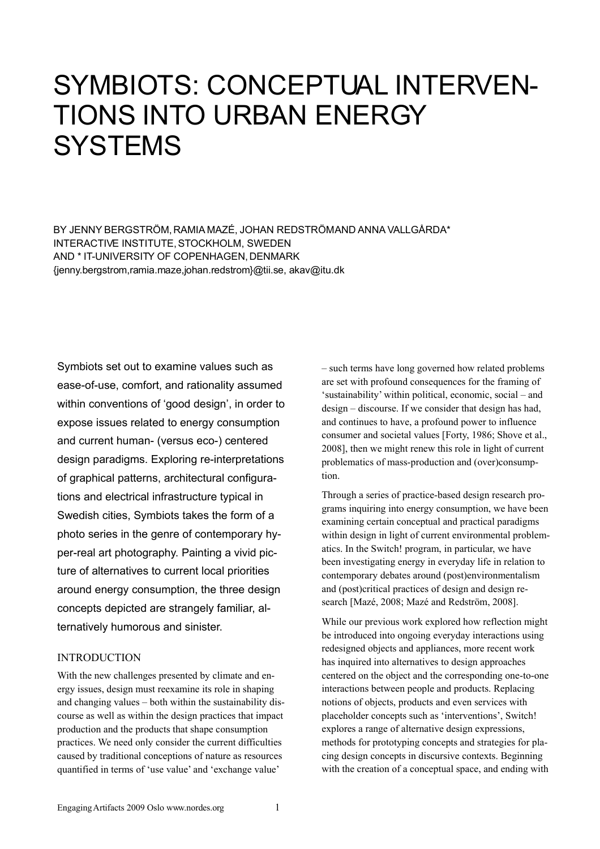# SYMBIOTS: CONCEPTUAL INTERVEN-TIONS INTO URBAN ENERGY **SYSTEMS**

BY JENNY BERGSTRÖM, RAMIA MAZÉ, JOHAN REDSTRÖMAND ANNA VALLGÅRDA\* INTERACTIVE INSTITUTE, STOCKHOLM, SWEDEN AND \* IT-UNIVERSITY OF COPENHAGEN, DENMARK {jenny.bergstrom,ramia.maze,johan.redstrom}@tii.se, akav@itu.dk

Symbiots set out to examine values such as ease-of-use, comfort, and rationality assumed within conventions of 'good design', in order to expose issues related to energy consumption and current human- (versus eco-) centered design paradigms. Exploring re-interpretations of graphical patterns, architectural configurations and electrical infrastructure typical in Swedish cities, Symbiots takes the form of a photo series in the genre of contemporary hyper-real art photography. Painting a vivid picture of alternatives to current local priorities around energy consumption, the three design concepts depicted are strangely familiar, alternatively humorous and sinister.

# INTRODUCTION

With the new challenges presented by climate and energy issues, design must reexamine its role in shaping and changing values – both within the sustainability discourse as well as within the design practices that impact production and the products that shape consumption practices. We need only consider the current difficulties caused by traditional conceptions of nature as resources quantified in terms of 'use value' and 'exchange value'

– such terms have long governed how related problems are set with profound consequences for the framing of 'sustainability' within political, economic, social – and design – discourse. If we consider that design has had, and continues to have, a profound power to influence consumer and societal values [Forty, 1986; Shove et al., 2008], then we might renew this role in light of current problematics of mass-production and (over)consumption.

Through a series of practice-based design research programs inquiring into energy consumption, we have been examining certain conceptual and practical paradigms within design in light of current environmental problematics. In the Switch! program, in particular, we have been investigating energy in everyday life in relation to contemporary debates around (post)environmentalism and (post)critical practices of design and design research [Mazé, 2008; Mazé and Redström, 2008].

While our previous work explored how reflection might be introduced into ongoing everyday interactions using redesigned objects and appliances, more recent work has inquired into alternatives to design approaches centered on the object and the corresponding one-to-one interactions between people and products. Replacing notions of objects, products and even services with placeholder concepts such as 'interventions', Switch! explores a range of alternative design expressions, methods for prototyping concepts and strategies for placing design concepts in discursive contexts. Beginning with the creation of a conceptual space, and ending with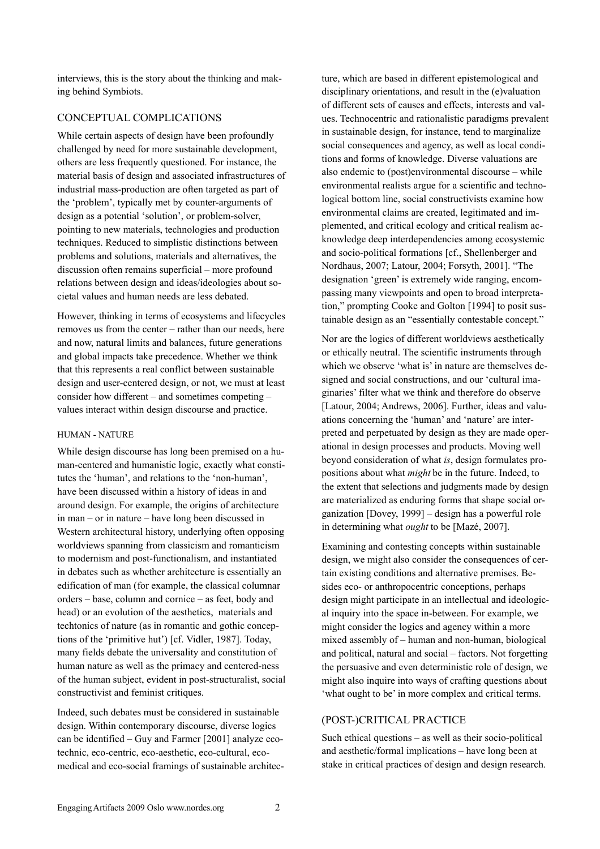interviews, this is the story about the thinking and making behind Symbiots.

# CONCEPTUAL COMPLICATIONS

While certain aspects of design have been profoundly challenged by need for more sustainable development, others are less frequently questioned. For instance, the material basis of design and associated infrastructures of industrial mass-production are often targeted as part of the 'problem', typically met by counter-arguments of design as a potential 'solution', or problem-solver, pointing to new materials, technologies and production techniques. Reduced to simplistic distinctions between problems and solutions, materials and alternatives, the discussion often remains superficial – more profound relations between design and ideas/ideologies about societal values and human needs are less debated.

However, thinking in terms of ecosystems and lifecycles removes us from the center – rather than our needs, here and now, natural limits and balances, future generations and global impacts take precedence. Whether we think that this represents a real conflict between sustainable design and user-centered design, or not, we must at least consider how different – and sometimes competing – values interact within design discourse and practice.

## HUMAN - NATURE

While design discourse has long been premised on a human-centered and humanistic logic, exactly what constitutes the 'human', and relations to the 'non-human', have been discussed within a history of ideas in and around design. For example, the origins of architecture in man – or in nature – have long been discussed in Western architectural history, underlying often opposing worldviews spanning from classicism and romanticism to modernism and post-functionalism, and instantiated in debates such as whether architecture is essentially an edification of man (for example, the classical columnar orders – base, column and cornice – as feet, body and head) or an evolution of the aesthetics, materials and techtonics of nature (as in romantic and gothic conceptions of the 'primitive hut') [cf. Vidler, 1987]. Today, many fields debate the universality and constitution of human nature as well as the primacy and centered-ness of the human subject, evident in post-structuralist, social constructivist and feminist critiques.

Indeed, such debates must be considered in sustainable design. Within contemporary discourse, diverse logics can be identified – Guy and Farmer [2001] analyze ecotechnic, eco-centric, eco-aesthetic, eco-cultural, ecomedical and eco-social framings of sustainable architec-

ture, which are based in different epistemological and disciplinary orientations, and result in the (e)valuation of different sets of causes and effects, interests and values. Technocentric and rationalistic paradigms prevalent in sustainable design, for instance, tend to marginalize social consequences and agency, as well as local conditions and forms of knowledge. Diverse valuations are also endemic to (post)environmental discourse – while environmental realists argue for a scientific and technological bottom line, social constructivists examine how environmental claims are created, legitimated and implemented, and critical ecology and critical realism acknowledge deep interdependencies among ecosystemic and socio-political formations [cf., Shellenberger and Nordhaus, 2007; Latour, 2004; Forsyth, 2001]. "The designation 'green' is extremely wide ranging, encompassing many viewpoints and open to broad interpretation," prompting Cooke and Golton [1994] to posit sustainable design as an "essentially contestable concept."

Nor are the logics of different worldviews aesthetically or ethically neutral. The scientific instruments through which we observe 'what is' in nature are themselves designed and social constructions, and our 'cultural imaginaries' filter what we think and therefore do observe [Latour, 2004; Andrews, 2006]. Further, ideas and valuations concerning the 'human' and 'nature' are interpreted and perpetuated by design as they are made operational in design processes and products. Moving well beyond consideration of what *is*, design formulates propositions about what *might* be in the future. Indeed, to the extent that selections and judgments made by design are materialized as enduring forms that shape social organization [Dovey, 1999] – design has a powerful role in determining what *ought* to be [Mazé, 2007].

Examining and contesting concepts within sustainable design, we might also consider the consequences of certain existing conditions and alternative premises. Besides eco- or anthropocentric conceptions, perhaps design might participate in an intellectual and ideological inquiry into the space in-between. For example, we might consider the logics and agency within a more mixed assembly of – human and non-human, biological and political, natural and social – factors. Not forgetting the persuasive and even deterministic role of design, we might also inquire into ways of crafting questions about 'what ought to be' in more complex and critical terms.

## (POST-)CRITICAL PRACTICE

Such ethical questions – as well as their socio-political and aesthetic/formal implications – have long been at stake in critical practices of design and design research.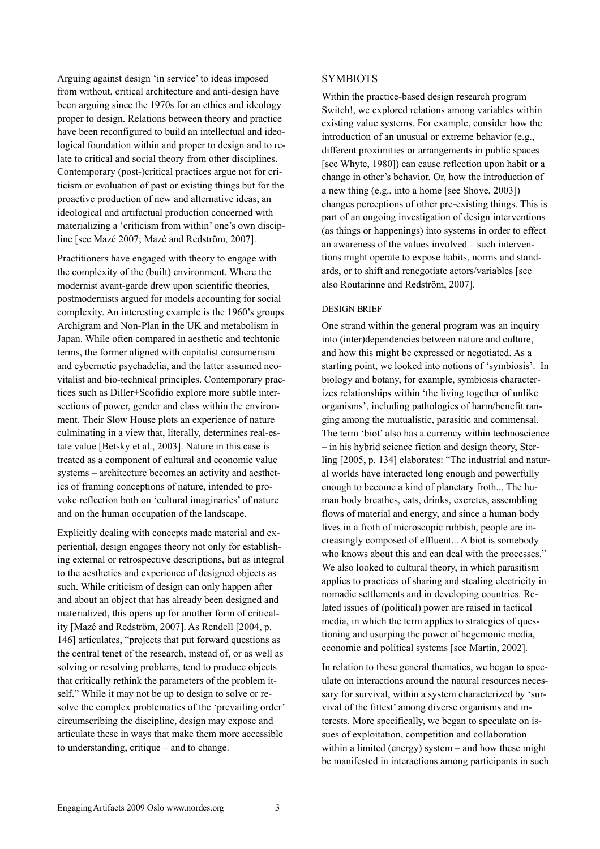Arguing against design 'in service' to ideas imposed from without, critical architecture and anti-design have been arguing since the 1970s for an ethics and ideology proper to design. Relations between theory and practice have been reconfigured to build an intellectual and ideological foundation within and proper to design and to relate to critical and social theory from other disciplines. Contemporary (post-)critical practices argue not for criticism or evaluation of past or existing things but for the proactive production of new and alternative ideas, an ideological and artifactual production concerned with materializing a 'criticism from within' one's own discipline [see Mazé 2007; Mazé and Redström, 2007].

Practitioners have engaged with theory to engage with the complexity of the (built) environment. Where the modernist avant-garde drew upon scientific theories, postmodernists argued for models accounting for social complexity. An interesting example is the 1960's groups Archigram and Non-Plan in the UK and metabolism in Japan. While often compared in aesthetic and techtonic terms, the former aligned with capitalist consumerism and cybernetic psychadelia, and the latter assumed neovitalist and bio-technical principles. Contemporary practices such as Diller+Scofidio explore more subtle intersections of power, gender and class within the environment. Their Slow House plots an experience of nature culminating in a view that, literally, determines real-estate value [Betsky et al., 2003]. Nature in this case is treated as a component of cultural and economic value systems – architecture becomes an activity and aesthetics of framing conceptions of nature, intended to provoke reflection both on 'cultural imaginaries' of nature and on the human occupation of the landscape.

Explicitly dealing with concepts made material and experiential, design engages theory not only for establishing external or retrospective descriptions, but as integral to the aesthetics and experience of designed objects as such. While criticism of design can only happen after and about an object that has already been designed and materialized, this opens up for another form of criticality [Mazé and Redström, 2007]. As Rendell [2004, p. 146] articulates, "projects that put forward questions as the central tenet of the research, instead of, or as well as solving or resolving problems, tend to produce objects that critically rethink the parameters of the problem itself." While it may not be up to design to solve or resolve the complex problematics of the 'prevailing order' circumscribing the discipline, design may expose and articulate these in ways that make them more accessible to understanding, critique – and to change.

#### SYMBIOTS

Within the practice-based design research program Switch!, we explored relations among variables within existing value systems. For example, consider how the introduction of an unusual or extreme behavior (e.g., different proximities or arrangements in public spaces [see Whyte, 1980]) can cause reflection upon habit or a change in other's behavior. Or, how the introduction of a new thing (e.g., into a home [see Shove, 2003]) changes perceptions of other pre-existing things. This is part of an ongoing investigation of design interventions (as things or happenings) into systems in order to effect an awareness of the values involved – such interventions might operate to expose habits, norms and standards, or to shift and renegotiate actors/variables [see also Routarinne and Redström, 2007].

#### DESIGN BRIEF

One strand within the general program was an inquiry into (inter)dependencies between nature and culture, and how this might be expressed or negotiated. As a starting point, we looked into notions of 'symbiosis'. In biology and botany, for example, symbiosis characterizes relationships within 'the living together of unlike organisms', including pathologies of harm/benefit ranging among the mutualistic, parasitic and commensal. The term 'biot' also has a currency within technoscience – in his hybrid science fiction and design theory, Sterling [2005, p. 134] elaborates: "The industrial and natural worlds have interacted long enough and powerfully enough to become a kind of planetary froth... The human body breathes, eats, drinks, excretes, assembling flows of material and energy, and since a human body lives in a froth of microscopic rubbish, people are increasingly composed of effluent... A biot is somebody who knows about this and can deal with the processes." We also looked to cultural theory, in which parasitism applies to practices of sharing and stealing electricity in nomadic settlements and in developing countries. Related issues of (political) power are raised in tactical media, in which the term applies to strategies of questioning and usurping the power of hegemonic media, economic and political systems [see Martin, 2002].

In relation to these general thematics, we began to speculate on interactions around the natural resources necessary for survival, within a system characterized by 'survival of the fittest' among diverse organisms and interests. More specifically, we began to speculate on issues of exploitation, competition and collaboration within a limited (energy) system – and how these might be manifested in interactions among participants in such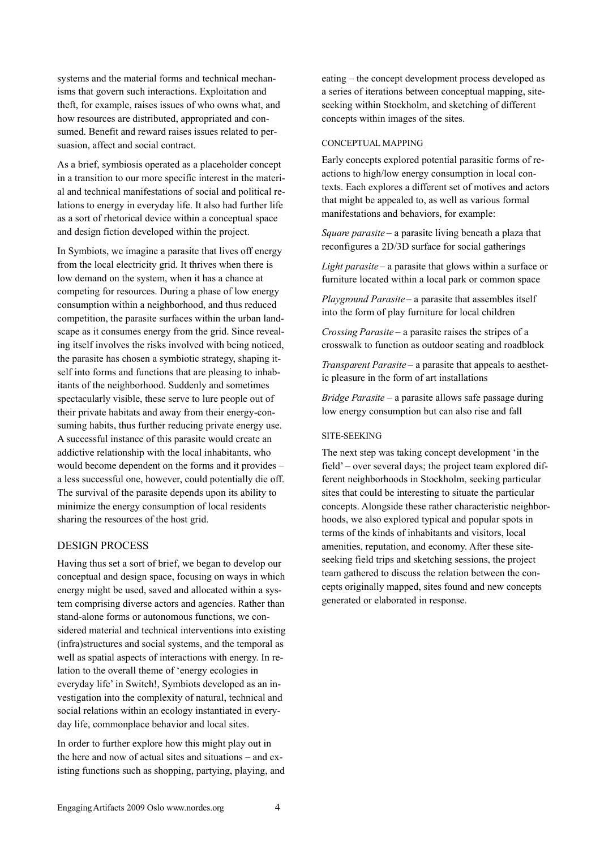systems and the material forms and technical mechanisms that govern such interactions. Exploitation and theft, for example, raises issues of who owns what, and how resources are distributed, appropriated and consumed. Benefit and reward raises issues related to persuasion, affect and social contract.

As a brief, symbiosis operated as a placeholder concept in a transition to our more specific interest in the material and technical manifestations of social and political relations to energy in everyday life. It also had further life as a sort of rhetorical device within a conceptual space and design fiction developed within the project.

In Symbiots, we imagine a parasite that lives off energy from the local electricity grid. It thrives when there is low demand on the system, when it has a chance at competing for resources. During a phase of low energy consumption within a neighborhood, and thus reduced competition, the parasite surfaces within the urban landscape as it consumes energy from the grid. Since revealing itself involves the risks involved with being noticed, the parasite has chosen a symbiotic strategy, shaping itself into forms and functions that are pleasing to inhabitants of the neighborhood. Suddenly and sometimes spectacularly visible, these serve to lure people out of their private habitats and away from their energy-consuming habits, thus further reducing private energy use. A successful instance of this parasite would create an addictive relationship with the local inhabitants, who would become dependent on the forms and it provides – a less successful one, however, could potentially die off. The survival of the parasite depends upon its ability to minimize the energy consumption of local residents sharing the resources of the host grid.

# DESIGN PROCESS

Having thus set a sort of brief, we began to develop our conceptual and design space, focusing on ways in which energy might be used, saved and allocated within a system comprising diverse actors and agencies. Rather than stand-alone forms or autonomous functions, we considered material and technical interventions into existing (infra)structures and social systems, and the temporal as well as spatial aspects of interactions with energy. In relation to the overall theme of 'energy ecologies in everyday life' in Switch!, Symbiots developed as an investigation into the complexity of natural, technical and social relations within an ecology instantiated in everyday life, commonplace behavior and local sites.

In order to further explore how this might play out in the here and now of actual sites and situations – and existing functions such as shopping, partying, playing, and

eating – the concept development process developed as a series of iterations between conceptual mapping, siteseeking within Stockholm, and sketching of different concepts within images of the sites.

#### CONCEPTUAL MAPPING

Early concepts explored potential parasitic forms of reactions to high/low energy consumption in local contexts. Each explores a different set of motives and actors that might be appealed to, as well as various formal manifestations and behaviors, for example:

*Square parasite* – a parasite living beneath a plaza that reconfigures a 2D/3D surface for social gatherings

*Light parasite* – a parasite that glows within a surface or furniture located within a local park or common space

*Playground Parasite* – a parasite that assembles itself into the form of play furniture for local children

*Crossing Parasite* – a parasite raises the stripes of a crosswalk to function as outdoor seating and roadblock

*Transparent Parasite* – a parasite that appeals to aesthetic pleasure in the form of art installations

*Bridge Parasite* – a parasite allows safe passage during low energy consumption but can also rise and fall

#### SITE-SEEKING

The next step was taking concept development 'in the field' – over several days; the project team explored different neighborhoods in Stockholm, seeking particular sites that could be interesting to situate the particular concepts. Alongside these rather characteristic neighborhoods, we also explored typical and popular spots in terms of the kinds of inhabitants and visitors, local amenities, reputation, and economy. After these siteseeking field trips and sketching sessions, the project team gathered to discuss the relation between the concepts originally mapped, sites found and new concepts generated or elaborated in response.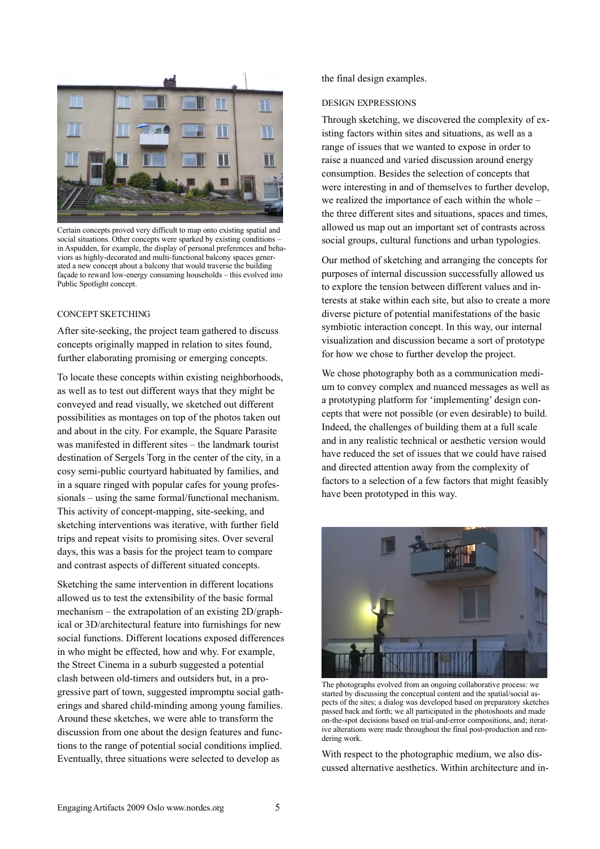

Certain concepts proved very difficult to map onto existing spatial and social situations. Other concepts were sparked by existing conditions – in Aspudden, for example, the display of personal preferences and behaviors as highly-decorated and multi-functional balcony spaces generated a new concept about a balcony that would traverse the building façade to reward low-energy consuming households – this evolved into Public Spotlight concept.

#### CONCEPT SKETCHING

After site-seeking, the project team gathered to discuss concepts originally mapped in relation to sites found, further elaborating promising or emerging concepts.

To locate these concepts within existing neighborhoods, as well as to test out different ways that they might be conveyed and read visually, we sketched out different possibilities as montages on top of the photos taken out and about in the city. For example, the Square Parasite was manifested in different sites – the landmark tourist destination of Sergels Torg in the center of the city, in a cosy semi-public courtyard habituated by families, and in a square ringed with popular cafes for young professionals – using the same formal/functional mechanism. This activity of concept-mapping, site-seeking, and sketching interventions was iterative, with further field trips and repeat visits to promising sites. Over several days, this was a basis for the project team to compare and contrast aspects of different situated concepts.

Sketching the same intervention in different locations allowed us to test the extensibility of the basic formal mechanism – the extrapolation of an existing 2D/graphical or 3D/architectural feature into furnishings for new social functions. Different locations exposed differences in who might be effected, how and why. For example, the Street Cinema in a suburb suggested a potential clash between old-timers and outsiders but, in a progressive part of town, suggested impromptu social gatherings and shared child-minding among young families. Around these sketches, we were able to transform the discussion from one about the design features and functions to the range of potential social conditions implied. Eventually, three situations were selected to develop as

the final design examples.

#### DESIGN EXPRESSIONS

Through sketching, we discovered the complexity of existing factors within sites and situations, as well as a range of issues that we wanted to expose in order to raise a nuanced and varied discussion around energy consumption. Besides the selection of concepts that were interesting in and of themselves to further develop, we realized the importance of each within the whole – the three different sites and situations, spaces and times, allowed us map out an important set of contrasts across social groups, cultural functions and urban typologies.

Our method of sketching and arranging the concepts for purposes of internal discussion successfully allowed us to explore the tension between different values and interests at stake within each site, but also to create a more diverse picture of potential manifestations of the basic symbiotic interaction concept. In this way, our internal visualization and discussion became a sort of prototype for how we chose to further develop the project.

We chose photography both as a communication medium to convey complex and nuanced messages as well as a prototyping platform for 'implementing' design concepts that were not possible (or even desirable) to build. Indeed, the challenges of building them at a full scale and in any realistic technical or aesthetic version would have reduced the set of issues that we could have raised and directed attention away from the complexity of factors to a selection of a few factors that might feasibly have been prototyped in this way.



The photographs evolved from an ongoing collaborative process: we started by discussing the conceptual content and the spatial/social aspects of the sites; a dialog was developed based on preparatory sketches passed back and forth; we all participated in the photoshoots and made on-the-spot decisions based on trial-and-error compositions, and; iterative alterations were made throughout the final post-production and rendering work.

With respect to the photographic medium, we also discussed alternative aesthetics. Within architecture and in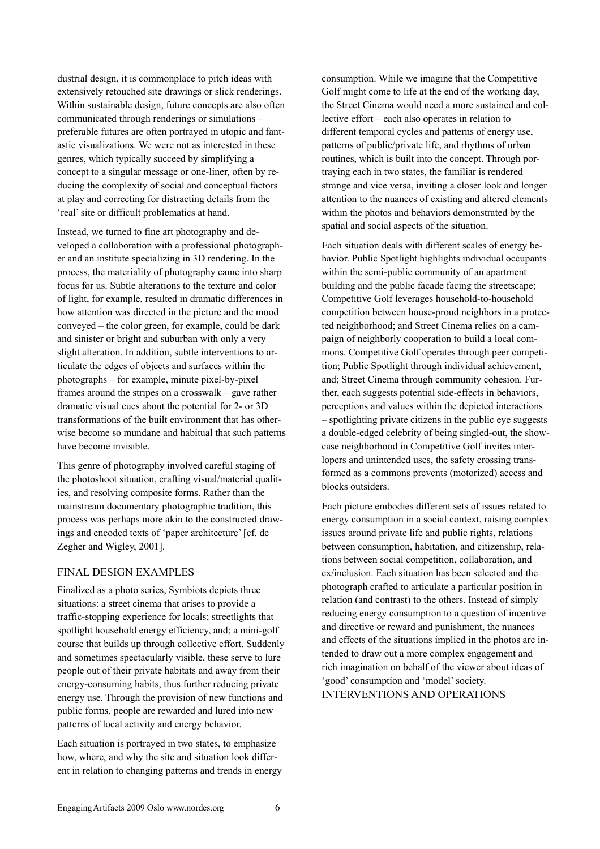dustrial design, it is commonplace to pitch ideas with extensively retouched site drawings or slick renderings. Within sustainable design, future concepts are also often communicated through renderings or simulations – preferable futures are often portrayed in utopic and fantastic visualizations. We were not as interested in these genres, which typically succeed by simplifying a concept to a singular message or one-liner, often by reducing the complexity of social and conceptual factors at play and correcting for distracting details from the 'real' site or difficult problematics at hand.

Instead, we turned to fine art photography and developed a collaboration with a professional photographer and an institute specializing in 3D rendering. In the process, the materiality of photography came into sharp focus for us. Subtle alterations to the texture and color of light, for example, resulted in dramatic differences in how attention was directed in the picture and the mood conveyed – the color green, for example, could be dark and sinister or bright and suburban with only a very slight alteration. In addition, subtle interventions to articulate the edges of objects and surfaces within the photographs – for example, minute pixel-by-pixel frames around the stripes on a crosswalk – gave rather dramatic visual cues about the potential for 2- or 3D transformations of the built environment that has otherwise become so mundane and habitual that such patterns have become invisible.

This genre of photography involved careful staging of the photoshoot situation, crafting visual/material qualities, and resolving composite forms. Rather than the mainstream documentary photographic tradition, this process was perhaps more akin to the constructed drawings and encoded texts of 'paper architecture' [cf. de Zegher and Wigley, 2001].

## FINAL DESIGN EXAMPLES

Finalized as a photo series, Symbiots depicts three situations: a street cinema that arises to provide a traffic-stopping experience for locals; streetlights that spotlight household energy efficiency, and; a mini-golf course that builds up through collective effort. Suddenly and sometimes spectacularly visible, these serve to lure people out of their private habitats and away from their energy-consuming habits, thus further reducing private energy use. Through the provision of new functions and public forms, people are rewarded and lured into new patterns of local activity and energy behavior.

Each situation is portrayed in two states, to emphasize how, where, and why the site and situation look different in relation to changing patterns and trends in energy

consumption. While we imagine that the Competitive Golf might come to life at the end of the working day, the Street Cinema would need a more sustained and collective effort – each also operates in relation to different temporal cycles and patterns of energy use, patterns of public/private life, and rhythms of urban routines, which is built into the concept. Through portraying each in two states, the familiar is rendered strange and vice versa, inviting a closer look and longer attention to the nuances of existing and altered elements within the photos and behaviors demonstrated by the spatial and social aspects of the situation.

Each situation deals with different scales of energy behavior. Public Spotlight highlights individual occupants within the semi-public community of an apartment building and the public facade facing the streetscape; Competitive Golf leverages household-to-household competition between house-proud neighbors in a protected neighborhood; and Street Cinema relies on a campaign of neighborly cooperation to build a local commons. Competitive Golf operates through peer competition; Public Spotlight through individual achievement, and; Street Cinema through community cohesion. Further, each suggests potential side-effects in behaviors, perceptions and values within the depicted interactions – spotlighting private citizens in the public eye suggests a double-edged celebrity of being singled-out, the showcase neighborhood in Competitive Golf invites interlopers and unintended uses, the safety crossing transformed as a commons prevents (motorized) access and blocks outsiders.

Each picture embodies different sets of issues related to energy consumption in a social context, raising complex issues around private life and public rights, relations between consumption, habitation, and citizenship, relations between social competition, collaboration, and ex/inclusion. Each situation has been selected and the photograph crafted to articulate a particular position in relation (and contrast) to the others. Instead of simply reducing energy consumption to a question of incentive and directive or reward and punishment, the nuances and effects of the situations implied in the photos are intended to draw out a more complex engagement and rich imagination on behalf of the viewer about ideas of 'good' consumption and 'model' society. INTERVENTIONS AND OPERATIONS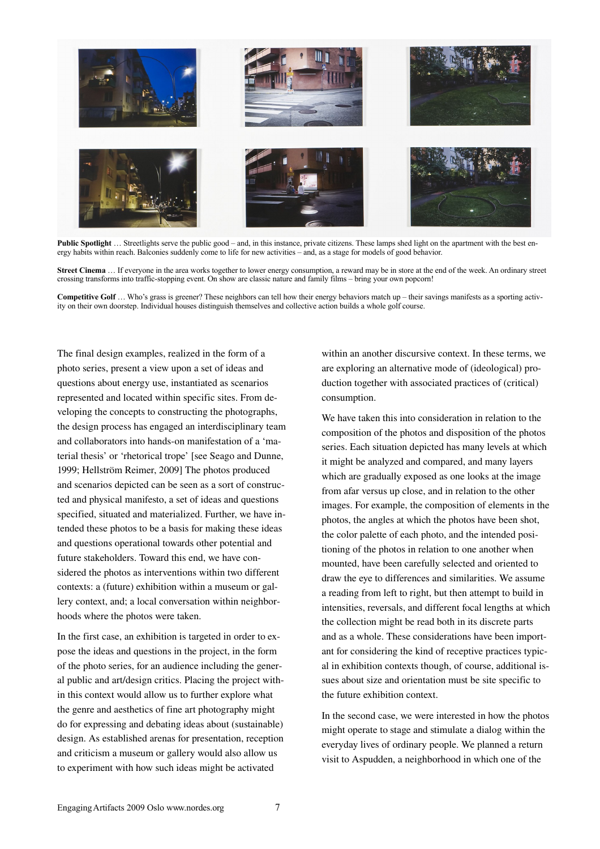

**Public Spotlight** ... Streetlights serve the public good – and, in this instance, private citizens. These lamps shed light on the apartment with the best energy habits within reach. Balconies suddenly come to life for new activities – and, as a stage for models of good behavior.

**Street Cinema** … If everyone in the area works together to lower energy consumption, a reward may be in store at the end of the week. An ordinary street crossing transforms into traffic-stopping event. On show are classic nature and family films – bring your own popcorn!

**Competitive Golf** … Who's grass is greener? These neighbors can tell how their energy behaviors match up – their savings manifests as a sporting activity on their own doorstep. Individual houses distinguish themselves and collective action builds a whole golf course.

The final design examples, realized in the form of a photo series, present a view upon a set of ideas and questions about energy use, instantiated as scenarios represented and located within specific sites. From developing the concepts to constructing the photographs, the design process has engaged an interdisciplinary team and collaborators into hands-on manifestation of a 'material thesis' or 'rhetorical trope' [see Seago and Dunne, 1999; Hellström Reimer, 2009] The photos produced and scenarios depicted can be seen as a sort of constructed and physical manifesto, a set of ideas and questions specified, situated and materialized. Further, we have intended these photos to be a basis for making these ideas and questions operational towards other potential and future stakeholders. Toward this end, we have considered the photos as interventions within two different contexts: a (future) exhibition within a museum or gallery context, and; a local conversation within neighborhoods where the photos were taken.

In the first case, an exhibition is targeted in order to expose the ideas and questions in the project, in the form of the photo series, for an audience including the general public and art/design critics. Placing the project within this context would allow us to further explore what the genre and aesthetics of fine art photography might do for expressing and debating ideas about (sustainable) design. As established arenas for presentation, reception and criticism a museum or gallery would also allow us to experiment with how such ideas might be activated

within an another discursive context. In these terms, we are exploring an alternative mode of (ideological) production together with associated practices of (critical) consumption.

We have taken this into consideration in relation to the composition of the photos and disposition of the photos series. Each situation depicted has many levels at which it might be analyzed and compared, and many layers which are gradually exposed as one looks at the image from afar versus up close, and in relation to the other images. For example, the composition of elements in the photos, the angles at which the photos have been shot, the color palette of each photo, and the intended positioning of the photos in relation to one another when mounted, have been carefully selected and oriented to draw the eye to differences and similarities. We assume a reading from left to right, but then attempt to build in intensities, reversals, and different focal lengths at which the collection might be read both in its discrete parts and as a whole. These considerations have been important for considering the kind of receptive practices typical in exhibition contexts though, of course, additional issues about size and orientation must be site specific to the future exhibition context.

In the second case, we were interested in how the photos might operate to stage and stimulate a dialog within the everyday lives of ordinary people. We planned a return visit to Aspudden, a neighborhood in which one of the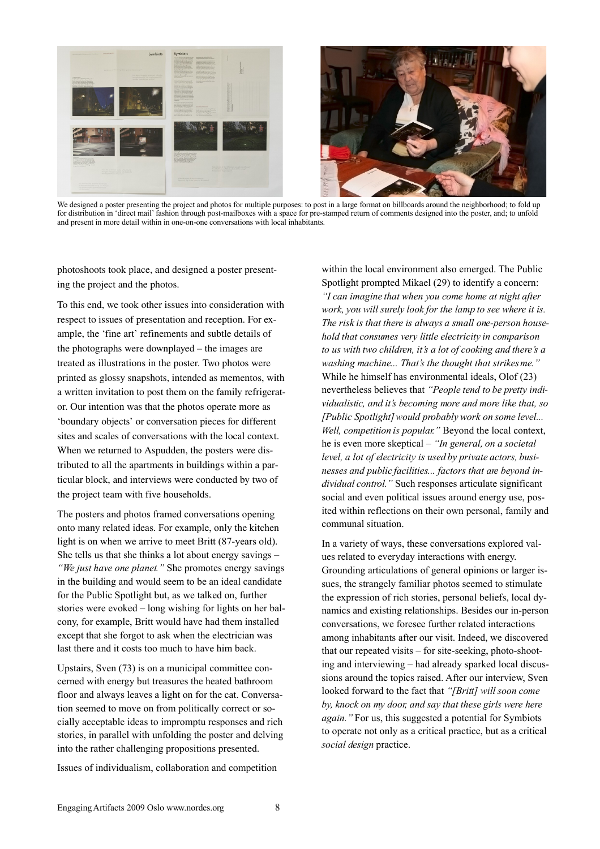

We designed a poster presenting the project and photos for multiple purposes: to post in a large format on billboards around the neighborhood; to fold up for distribution in 'direct mail' fashion through post-mailboxes with a space for pre-stamped return of comments designed into the poster, and; to unfold and present in more detail within in one-on-one conversations with local inhabitants.

photoshoots took place, and designed a poster presenting the project and the photos.

To this end, we took other issues into consideration with respect to issues of presentation and reception. For example, the 'fine art' refinements and subtle details of the photographs were downplayed – the images are treated as illustrations in the poster. Two photos were printed as glossy snapshots, intended as mementos, with a written invitation to post them on the family refrigerator. Our intention was that the photos operate more as 'boundary objects' or conversation pieces for different sites and scales of conversations with the local context. When we returned to Aspudden, the posters were distributed to all the apartments in buildings within a particular block, and interviews were conducted by two of the project team with five households.

The posters and photos framed conversations opening onto many related ideas. For example, only the kitchen light is on when we arrive to meet Britt (87-years old). She tells us that she thinks a lot about energy savings – *"We just have one planet."* She promotes energy savings in the building and would seem to be an ideal candidate for the Public Spotlight but, as we talked on, further stories were evoked – long wishing for lights on her balcony, for example, Britt would have had them installed except that she forgot to ask when the electrician was last there and it costs too much to have him back.

Upstairs, Sven (73) is on a municipal committee concerned with energy but treasures the heated bathroom floor and always leaves a light on for the cat. Conversation seemed to move on from politically correct or socially acceptable ideas to impromptu responses and rich stories, in parallel with unfolding the poster and delving into the rather challenging propositions presented.

Issues of individualism, collaboration and competition

within the local environment also emerged. The Public Spotlight prompted Mikael (29) to identify a concern: *"I can imagine that when you come home at night after work, you will surely look for the lamp to see where it is. The risk is that there is always a small one-person household that consumes very little electricity in comparison to us with two children, it's a lot of cooking and there's a washing machine... That's the thought that strikes me."* While he himself has environmental ideals, Olof (23) nevertheless believes that *"People tend to be pretty individualistic, and it's becoming more and more like that, so [Public Spotlight]would probably work on some level... Well, competition is popular."* Beyond the local context, he is even more skeptical – *"In general, on a societal level, a lot of electricity is used by private actors, businesses and public facilities... factors that are beyond individual control."* Such responses articulate significant social and even political issues around energy use, posited within reflections on their own personal, family and communal situation.

In a variety of ways, these conversations explored values related to everyday interactions with energy. Grounding articulations of general opinions or larger issues, the strangely familiar photos seemed to stimulate the expression of rich stories, personal beliefs, local dynamics and existing relationships. Besides our in-person conversations, we foresee further related interactions among inhabitants after our visit. Indeed, we discovered that our repeated visits – for site-seeking, photo-shooting and interviewing – had already sparked local discussions around the topics raised. After our interview, Sven looked forward to the fact that *"[Britt] will soon come by, knock on my door, and say that these girls were here again."* For us, this suggested a potential for Symbiots to operate not only as a critical practice, but as a critical *social design* practice.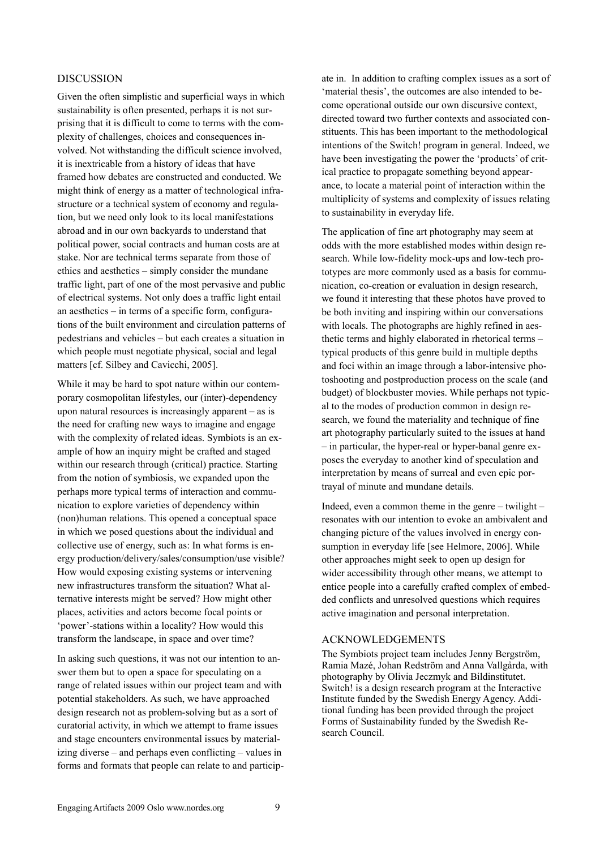## DISCUSSION

Given the often simplistic and superficial ways in which sustainability is often presented, perhaps it is not surprising that it is difficult to come to terms with the complexity of challenges, choices and consequences involved. Not withstanding the difficult science involved, it is inextricable from a history of ideas that have framed how debates are constructed and conducted. We might think of energy as a matter of technological infrastructure or a technical system of economy and regulation, but we need only look to its local manifestations abroad and in our own backyards to understand that political power, social contracts and human costs are at stake. Nor are technical terms separate from those of ethics and aesthetics – simply consider the mundane traffic light, part of one of the most pervasive and public of electrical systems. Not only does a traffic light entail an aesthetics – in terms of a specific form, configurations of the built environment and circulation patterns of pedestrians and vehicles – but each creates a situation in which people must negotiate physical, social and legal matters [cf. Silbey and Cavicchi, 2005].

While it may be hard to spot nature within our contemporary cosmopolitan lifestyles, our (inter)-dependency upon natural resources is increasingly apparent – as is the need for crafting new ways to imagine and engage with the complexity of related ideas. Symbiots is an example of how an inquiry might be crafted and staged within our research through (critical) practice. Starting from the notion of symbiosis, we expanded upon the perhaps more typical terms of interaction and communication to explore varieties of dependency within (non)human relations. This opened a conceptual space in which we posed questions about the individual and collective use of energy, such as: In what forms is energy production/delivery/sales/consumption/use visible? How would exposing existing systems or intervening new infrastructures transform the situation? What alternative interests might be served? How might other places, activities and actors become focal points or 'power'-stations within a locality? How would this transform the landscape, in space and over time?

In asking such questions, it was not our intention to answer them but to open a space for speculating on a range of related issues within our project team and with potential stakeholders. As such, we have approached design research not as problem-solving but as a sort of curatorial activity, in which we attempt to frame issues and stage encounters environmental issues by materializing diverse – and perhaps even conflicting – values in forms and formats that people can relate to and particip-

ate in. In addition to crafting complex issues as a sort of 'material thesis', the outcomes are also intended to become operational outside our own discursive context, directed toward two further contexts and associated constituents. This has been important to the methodological intentions of the Switch! program in general. Indeed, we have been investigating the power the 'products' of critical practice to propagate something beyond appearance, to locate a material point of interaction within the multiplicity of systems and complexity of issues relating to sustainability in everyday life.

The application of fine art photography may seem at odds with the more established modes within design research. While low-fidelity mock-ups and low-tech prototypes are more commonly used as a basis for communication, co-creation or evaluation in design research, we found it interesting that these photos have proved to be both inviting and inspiring within our conversations with locals. The photographs are highly refined in aesthetic terms and highly elaborated in rhetorical terms – typical products of this genre build in multiple depths and foci within an image through a labor-intensive photoshooting and postproduction process on the scale (and budget) of blockbuster movies. While perhaps not typical to the modes of production common in design research, we found the materiality and technique of fine art photography particularly suited to the issues at hand – in particular, the hyper-real or hyper-banal genre exposes the everyday to another kind of speculation and interpretation by means of surreal and even epic portrayal of minute and mundane details.

Indeed, even a common theme in the genre – twilight – resonates with our intention to evoke an ambivalent and changing picture of the values involved in energy consumption in everyday life [see Helmore, 2006]. While other approaches might seek to open up design for wider accessibility through other means, we attempt to entice people into a carefully crafted complex of embedded conflicts and unresolved questions which requires active imagination and personal interpretation.

#### ACKNOWLEDGEMENTS

The Symbiots project team includes Jenny Bergström, Ramia Mazé, Johan Redström and Anna Vallgårda, with photography by Olivia Jeczmyk and Bildinstitutet. Switch! is a design research program at the Interactive Institute funded by the Swedish Energy Agency. Additional funding has been provided through the project Forms of Sustainability funded by the Swedish Research Council.